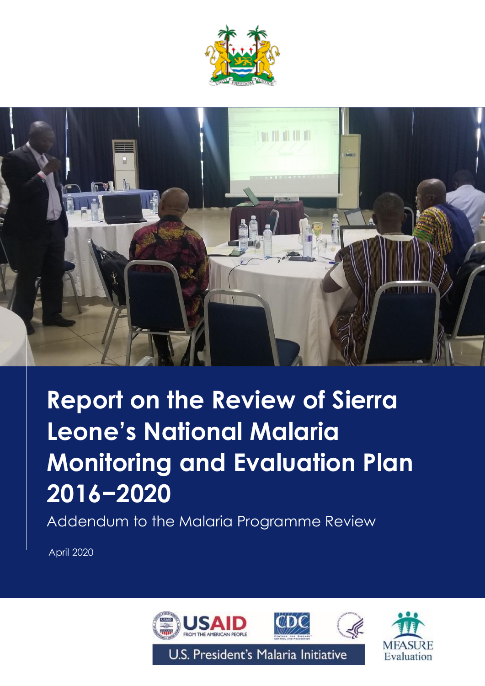



# **Report on the Review of Sierra Leone's National Malaria Monitoring and Evaluation Plan 2016−2020**

Addendum to the Malaria Programme Review

April 2020

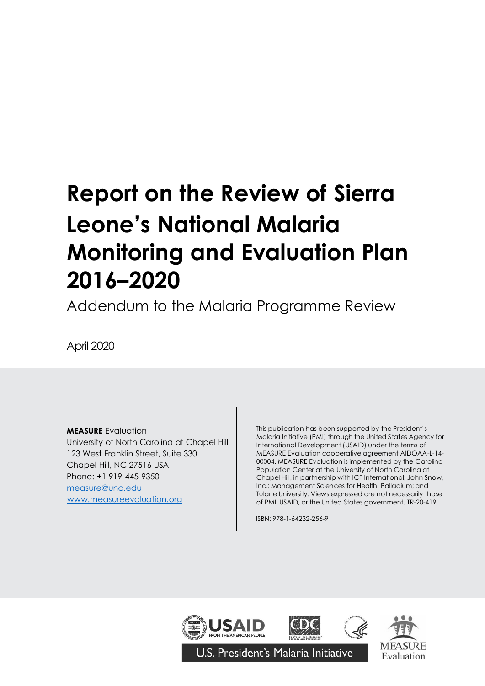# **Report on the Review of Sierra Leone's National Malaria Monitoring and Evaluation Plan 2016–2020**

Addendum to the Malaria Programme Review

April 2020

**MEASURE** Evaluation

Chapel Hill, NC 27516 USA University of North Carolina at Chapel Hill 123 West Franklin Street, Suite 330 Phone: +1 919-445-9350 [measure@unc.edu](mailto:measure@unc.edu) [www.measureevaluation.org](http://www.measureevaluation.org/)

This publication has been supported by the President's Malaria Initiative (PMI) through the United States Agency for International Development (USAID) under the terms of MEASURE Evaluation cooperative agreement AIDOAA-L-14- 00004. MEASURE Evaluation is implemented by the Carolina Population Center at the University of North Carolina at Chapel Hill, in partnership with ICF International; John Snow, Inc.; Management Sciences for Health; Palladium; and Tulane University. Views expressed are not necessarily those of PMI, USAID, or the United States government. TR-20-419

ISBN: 978-1-64232-256-9





U.S. President's Malaria Initiative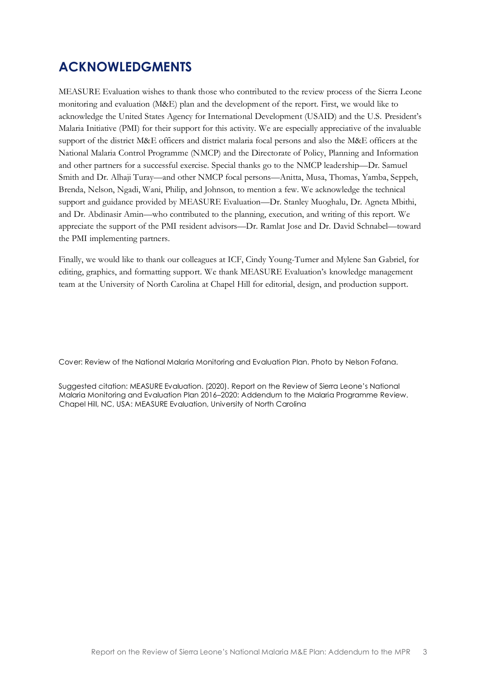## <span id="page-2-0"></span>**ACKNOWLEDGMENTS**

MEASURE Evaluation wishes to thank those who contributed to the review process of the Sierra Leone monitoring and evaluation (M&E) plan and the development of the report. First, we would like to acknowledge the United States Agency for International Development (USAID) and the U.S. President's Malaria Initiative (PMI) for their support for this activity. We are especially appreciative of the invaluable support of the district M&E officers and district malaria focal persons and also the M&E officers at the National Malaria Control Programme (NMCP) and the Directorate of Policy, Planning and Information and other partners for a successful exercise. Special thanks go to the NMCP leadership—Dr. Samuel Smith and Dr. Alhaji Turay—and other NMCP focal persons—Anitta, Musa, Thomas, Yamba, Seppeh, Brenda, Nelson, Ngadi, Wani, Philip, and Johnson, to mention a few. We acknowledge the technical support and guidance provided by MEASURE Evaluation—Dr. Stanley Muoghalu, Dr. Agneta Mbithi, and Dr. Abdinasir Amin—who contributed to the planning, execution, and writing of this report. We appreciate the support of the PMI resident advisors—Dr. Ramlat Jose and Dr. David Schnabel—toward the PMI implementing partners.

Finally, we would like to thank our colleagues at ICF, Cindy Young-Turner and Mylene San Gabriel, for editing, graphics, and formatting support. We thank MEASURE Evaluation's knowledge management team at the University of North Carolina at Chapel Hill for editorial, design, and production support.

Cover: Review of the National Malaria Monitoring and Evaluation Plan. Photo by Nelson Fofana.

Suggested citation: MEASURE Evaluation. (2020). Report on the Review of Sierra Leone's National Malaria Monitoring and Evaluation Plan 2016–2020: Addendum to the Malaria Programme Review. Chapel Hill, NC, USA: MEASURE Evaluation, University of North Carolina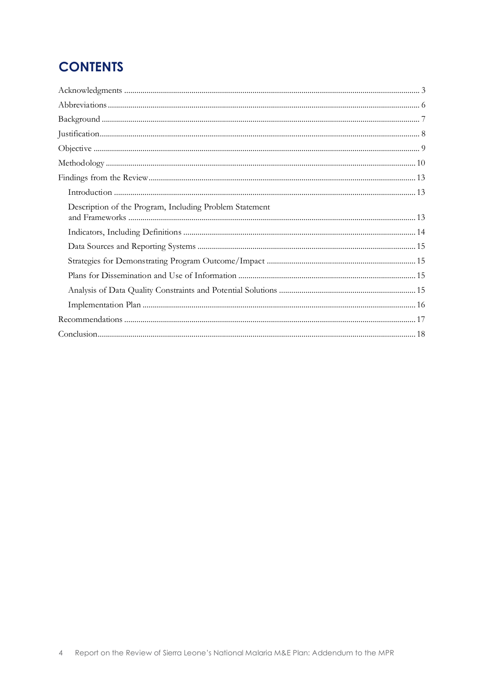# **CONTENTS**

| Description of the Program, Including Problem Statement |
|---------------------------------------------------------|
|                                                         |
|                                                         |
|                                                         |
|                                                         |
|                                                         |
|                                                         |
|                                                         |
|                                                         |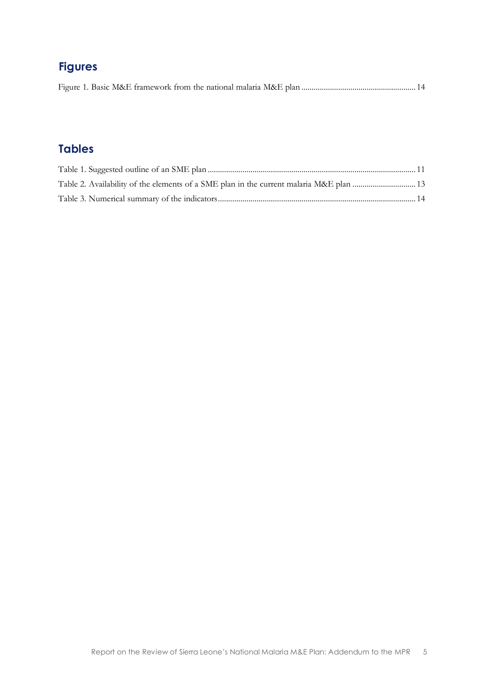# **Figures**

|--|--|--|--|--|--|--|

### **Tables**

| Table 2. Availability of the elements of a SME plan in the current malaria M&E plan  13 |  |
|-----------------------------------------------------------------------------------------|--|
|                                                                                         |  |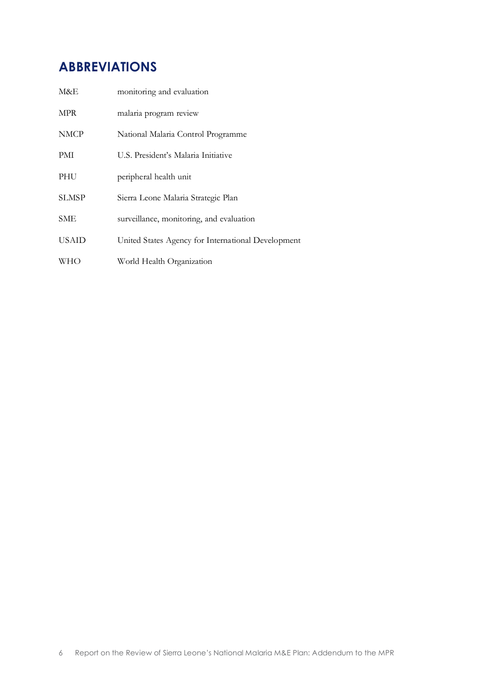## <span id="page-5-0"></span>**ABBREVIATIONS**

| M&E          | monitoring and evaluation                          |
|--------------|----------------------------------------------------|
| MPR          | malaria program review                             |
| <b>NMCP</b>  | National Malaria Control Programme                 |
| PMI          | U.S. President's Malaria Initiative                |
| PHU          | peripheral health unit                             |
| <b>SLMSP</b> | Sierra Leone Malaria Strategic Plan                |
| SME          | surveillance, monitoring, and evaluation           |
| <b>USAID</b> | United States Agency for International Development |
| WНО          | World Health Organization                          |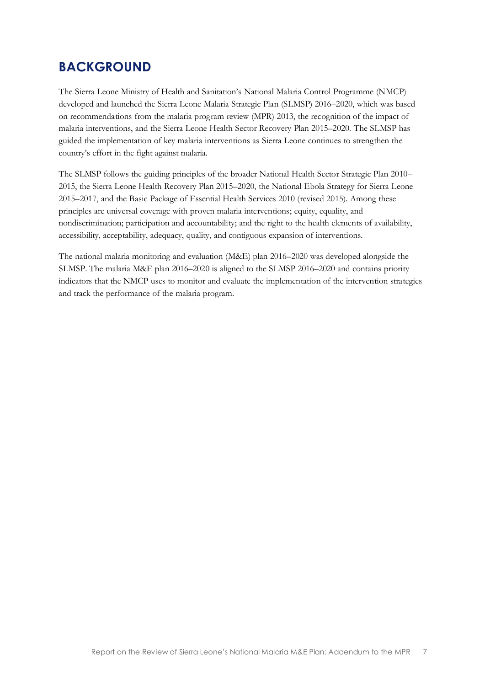## <span id="page-6-0"></span>**BACKGROUND**

The Sierra Leone Ministry of Health and Sanitation's National Malaria Control Programme (NMCP) developed and launched the Sierra Leone Malaria Strategic Plan (SLMSP) 2016–2020, which was based on recommendations from the malaria program review (MPR) 2013, the recognition of the impact of malaria interventions, and the Sierra Leone Health Sector Recovery Plan 2015–2020. The SLMSP has guided the implementation of key malaria interventions as Sierra Leone continues to strengthen the country's effort in the fight against malaria.

The SLMSP follows the guiding principles of the broader National Health Sector Strategic Plan 2010– 2015, the Sierra Leone Health Recovery Plan 2015–2020, the National Ebola Strategy for Sierra Leone 2015–2017, and the Basic Package of Essential Health Services 2010 (revised 2015). Among these principles are universal coverage with proven malaria interventions; equity, equality, and nondiscrimination; participation and accountability; and the right to the health elements of availability, accessibility, acceptability, adequacy, quality, and contiguous expansion of interventions.

The national malaria monitoring and evaluation (M&E) plan 2016–2020 was developed alongside the SLMSP. The malaria M&E plan 2016–2020 is aligned to the SLMSP 2016–2020 and contains priority indicators that the NMCP uses to monitor and evaluate the implementation of the intervention strategies and track the performance of the malaria program.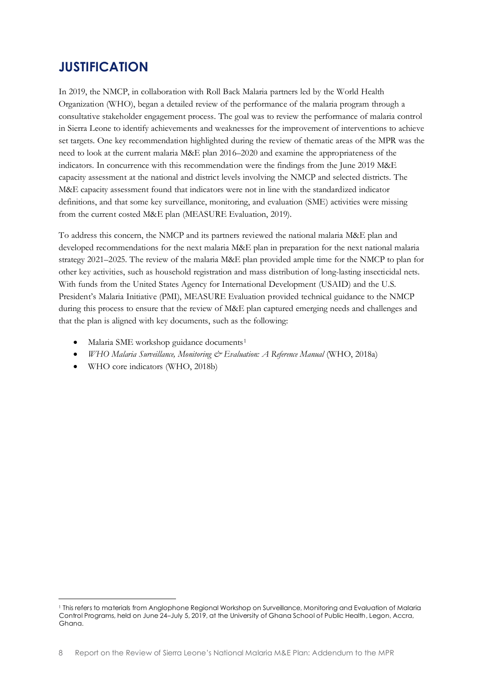## <span id="page-7-0"></span>**JUSTIFICATION**

In 2019, the NMCP, in collaboration with Roll Back Malaria partners led by the World Health Organization (WHO), began a detailed review of the performance of the malaria program through a consultative stakeholder engagement process. The goal was to review the performance of malaria control in Sierra Leone to identify achievements and weaknesses for the improvement of interventions to achieve set targets. One key recommendation highlighted during the review of thematic areas of the MPR was the need to look at the current malaria M&E plan 2016–2020 and examine the appropriateness of the indicators. In concurrence with this recommendation were the findings from the June 2019 M&E capacity assessment at the national and district levels involving the NMCP and selected districts. The M&E capacity assessment found that indicators were not in line with the standardized indicator definitions, and that some key surveillance, monitoring, and evaluation (SME) activities were missing from the current costed M&E plan (MEASURE Evaluation, 2019).

To address this concern, the NMCP and its partners reviewed the national malaria M&E plan and developed recommendations for the next malaria M&E plan in preparation for the next national malaria strategy 2021–2025. The review of the malaria M&E plan provided ample time for the NMCP to plan for other key activities, such as household registration and mass distribution of long-lasting insecticidal nets. With funds from the United States Agency for International Development (USAID) and the U.S. President's Malaria Initiative (PMI), MEASURE Evaluation provided technical guidance to the NMCP during this process to ensure that the review of M&E plan captured emerging needs and challenges and that the plan is aligned with key documents, such as the following:

- Malaria SME workshop guidance documents<sup>1</sup>
- *WHO Malaria Surveillance, Monitoring & Evaluation: A Reference Manual* (WHO, 2018a)
- WHO core indicators (WHO, 2018b)

<sup>1</sup> This refers to materials from Anglophone Regional Workshop on Surveillance, Monitoring and Evaluation of Malaria Control Programs, held on June 24–July 5, 2019, at the University of Ghana School of Public Health, Legon, Accra, Ghana.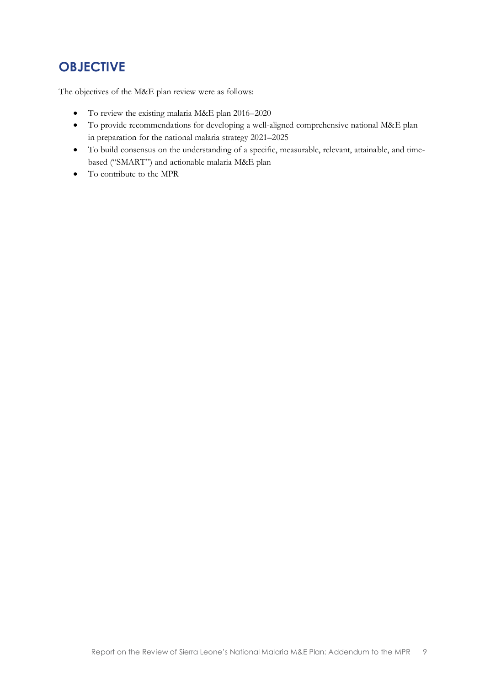# <span id="page-8-0"></span>**OBJECTIVE**

The objectives of the M&E plan review were as follows:

- To review the existing malaria M&E plan 2016–2020
- To provide recommendations for developing a well-aligned comprehensive national M&E plan in preparation for the national malaria strategy 2021–2025
- To build consensus on the understanding of a specific, measurable, relevant, attainable, and timebased ("SMART") and actionable malaria M&E plan
- To contribute to the MPR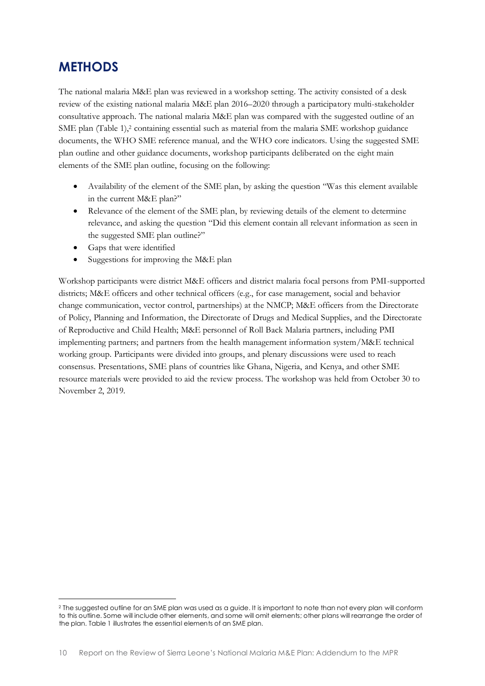## <span id="page-9-0"></span>**METHODS**

The national malaria M&E plan was reviewed in a workshop setting. The activity consisted of a desk review of the existing national malaria M&E plan 2016–2020 through a participatory multi-stakeholder consultative approach. The national malaria M&E plan was compared with the suggested outline of an SME plan (Table 1), <sup>2</sup> containing essential such as material from the malaria SME workshop guidance documents, the WHO SME reference manual*,* and the WHO core indicators. Using the suggested SME plan outline and other guidance documents, workshop participants deliberated on the eight main elements of the SME plan outline, focusing on the following:

- Availability of the element of the SME plan, by asking the question "Was this element available in the current M&E plan?"
- Relevance of the element of the SME plan, by reviewing details of the element to determine relevance, and asking the question "Did this element contain all relevant information as seen in the suggested SME plan outline?"
- Gaps that were identified
- Suggestions for improving the M&E plan

<span id="page-9-1"></span>Workshop participants were district M&E officers and district malaria focal persons from PMI-supported districts; M&E officers and other technical officers (e.g., for case management, social and behavior change communication, vector control, partnerships) at the NMCP; M&E officers from the Directorate of Policy, Planning and Information, the Directorate of Drugs and Medical Supplies, and the Directorate of Reproductive and Child Health; M&E personnel of Roll Back Malaria partners, including PMI implementing partners; and partners from the health management information system/M&E technical working group. Participants were divided into groups, and plenary discussions were used to reach consensus. Presentations, SME plans of countries like Ghana, Nigeria, and Kenya, and other SME resource materials were provided to aid the review process. The workshop was held from October 30 to November 2, 2019.

<sup>&</sup>lt;sup>2</sup> The suggested outline for an SME plan was used as a guide. It is important to note than not every plan will conform to this outline. Some will include other elements, and some will omit elements; other plans will rearrange the order of the plan. Table 1 illustrates the essential elements of an SME plan.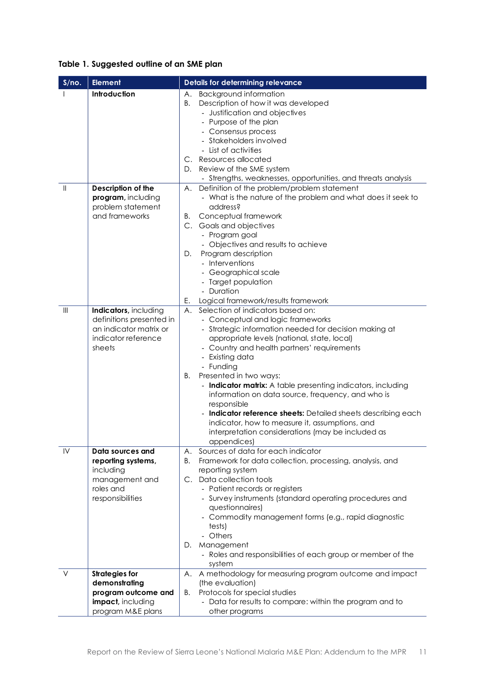#### **Table 1. Suggested outline of an SME plan**

| S/no.                            | <b>Element</b>                                                                                               | <b>Details for determining relevance</b>                                                                                                                                                                                                                                                                                                                                                                                                                                                                                                                                                                                     |
|----------------------------------|--------------------------------------------------------------------------------------------------------------|------------------------------------------------------------------------------------------------------------------------------------------------------------------------------------------------------------------------------------------------------------------------------------------------------------------------------------------------------------------------------------------------------------------------------------------------------------------------------------------------------------------------------------------------------------------------------------------------------------------------------|
|                                  | Introduction                                                                                                 | <b>Background information</b><br>Α.<br>Description of how it was developed<br>В.<br>- Justification and objectives<br>- Purpose of the plan<br>- Consensus process<br>- Stakeholders involved<br>- List of activities<br>C. Resources allocated<br>Review of the SME system<br>D.<br>- Strengths, weaknesses, opportunities, and threats analysis                                                                                                                                                                                                                                                                            |
| $\mathbf{I}$                     | Description of the<br>program, including<br>problem statement<br>and frameworks                              | Definition of the problem/problem statement<br>А.<br>- What is the nature of the problem and what does it seek to<br>address?<br>Conceptual framework<br>В.<br>C. Goals and objectives<br>- Program goal<br>- Objectives and results to achieve<br>Program description<br>D.<br>- Interventions<br>- Geographical scale<br>- Target population<br>- Duration<br>Ε.<br>Logical framework/results framework                                                                                                                                                                                                                    |
| $\mathop{\mathsf{III}}\nolimits$ | Indicators, including<br>definitions presented in<br>an indicator matrix or<br>indicator reference<br>sheets | Selection of indicators based on:<br>А.<br>- Conceptual and logic frameworks<br>- Strategic information needed for decision making at<br>appropriate levels (national, state, local)<br>- Country and health partners' requirements<br>- Existing data<br>- Funding<br>Β.<br>Presented in two ways:<br>- Indicator matrix: A table presenting indicators, including<br>information on data source, frequency, and who is<br>responsible<br>Indicator reference sheets: Detailed sheets describing each<br>indicator, how to measure it, assumptions, and<br>interpretation considerations (may be included as<br>appendices) |
| IV                               | Data sources and<br>reporting systems,<br>including<br>management and<br>roles and<br>responsibilities       | Sources of data for each indicator<br>А.<br>Framework for data collection, processing, analysis, and<br>В.<br>reporting system<br>C. Data collection tools<br>- Patient records or registers<br>- Survey instruments (standard operating procedures and<br>questionnaires)<br>- Commodity management forms (e.g., rapid diagnostic<br>tests)<br>- Others<br>Management<br>D.<br>- Roles and responsibilities of each group or member of the<br>system                                                                                                                                                                        |
| V                                | <b>Strategies for</b><br>demonstrating<br>program outcome and<br>impact, including<br>program M&E plans      | A methodology for measuring program outcome and impact<br>Α.<br>(the evaluation)<br>Protocols for special studies<br>В.<br>- Data for results to compare: within the program and to<br>other programs                                                                                                                                                                                                                                                                                                                                                                                                                        |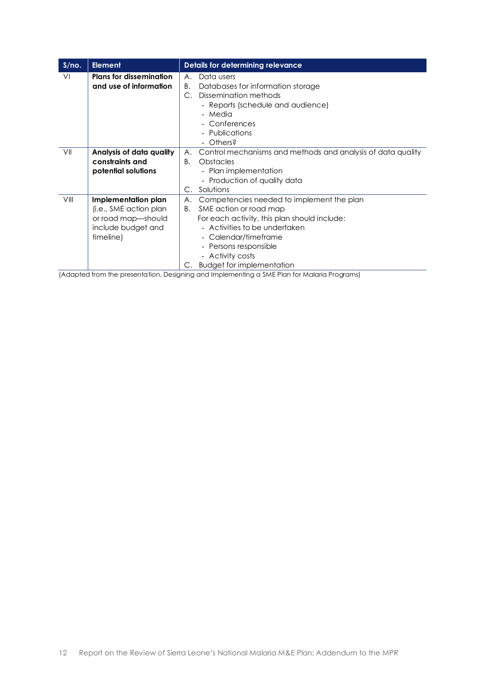| S/no. | <b>Element</b>                                                                                         | Details for determining relevance                                                                                                                                                                                                                                               |
|-------|--------------------------------------------------------------------------------------------------------|---------------------------------------------------------------------------------------------------------------------------------------------------------------------------------------------------------------------------------------------------------------------------------|
| VI    | <b>Plans for dissemination</b><br>and use of information                                               | Data users<br>А.<br>Databases for information storage<br>В.<br>Dissemination methods<br>С.<br>- Reports (schedule and audience)<br>- Media<br>- Conferences<br>- Publications<br>- Others?                                                                                      |
| VII   | Analysis of data quality<br>constraints and<br>potential solutions                                     | Control mechanisms and methods and analysis of data quality<br>А.<br>$B_{\cdot}$<br><b>Obstacles</b><br>- Plan implementation<br>- Production of quality data<br>Solutions<br>С.                                                                                                |
| VIII  | Implementation plan<br>(i.e., SME action plan<br>or road map-should<br>include budget and<br>timeline) | Competencies needed to implement the plan<br>А.<br>SME action or road map<br>В.<br>For each activity, this plan should include:<br>- Activities to be undertaken<br>- Calendar/timeframe<br>- Persons responsible<br>- Activity costs<br><b>Budget for implementation</b><br>С. |

(Adapted from the presentation, Designing and Implementing a SME Plan for Malaria Programs)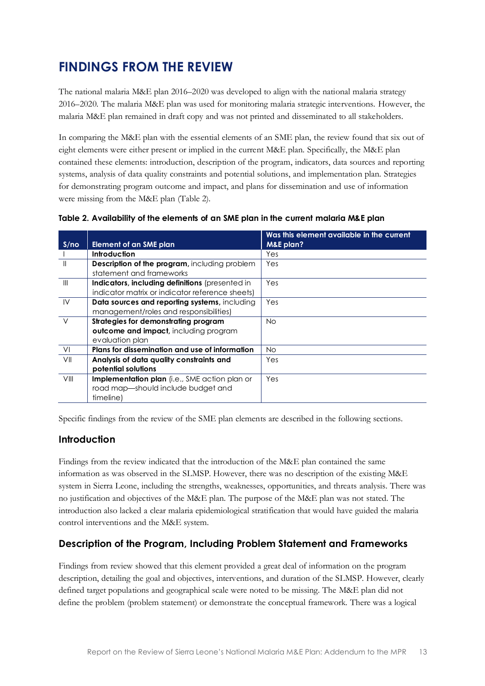# <span id="page-12-0"></span>**FINDINGS FROM THE REVIEW**

The national malaria M&E plan 2016–2020 was developed to align with the national malaria strategy 2016–2020. The malaria M&E plan was used for monitoring malaria strategic interventions. However, the malaria M&E plan remained in draft copy and was not printed and disseminated to all stakeholders.

In comparing the M&E plan with the essential elements of an SME plan, the review found that six out of eight elements were either present or implied in the current M&E plan. Specifically, the M&E plan contained these elements: introduction, description of the program, indicators, data sources and reporting systems, analysis of data quality constraints and potential solutions, and implementation plan. Strategies for demonstrating program outcome and impact, and plans for dissemination and use of information were missing from the M&E plan (Table 2).

|                |                                                 | Was this element available in the current |
|----------------|-------------------------------------------------|-------------------------------------------|
| S/no           | <b>Element of an SME plan</b>                   | <b>M&amp;E</b> plan?                      |
|                | <b>Introduction</b>                             | Yes                                       |
| $\mathbf{I}$   | Description of the program, including problem   | Yes                                       |
|                | statement and frameworks                        |                                           |
| $\mathbf{III}$ | Indicators, including definitions (presented in | Yes                                       |
|                | indicator matrix or indicator reference sheets) |                                           |
| IV             | Data sources and reporting systems, including   | Yes                                       |
|                | management/roles and responsibilities)          |                                           |
| $\vee$         | Strategies for demonstrating program            | No.                                       |
|                | outcome and impact, including program           |                                           |
|                | evaluation plan                                 |                                           |
| V <sub>l</sub> | Plans for dissemination and use of information  | No.                                       |
| VII            | Analysis of data quality constraints and        | Yes                                       |
|                | potential solutions                             |                                           |
| VIII           | Implementation plan (i.e., SME action plan or   | Yes                                       |
|                | road map-should include budget and              |                                           |
|                | timeline)                                       |                                           |

<span id="page-12-3"></span>**Table 2. Availability of the elements of an SME plan in the current malaria M&E plan**

Specific findings from the review of the SME plan elements are described in the following sections.

#### <span id="page-12-1"></span>**Introduction**

Findings from the review indicated that the introduction of the M&E plan contained the same information as was observed in the SLMSP. However, there was no description of the existing M&E system in Sierra Leone, including the strengths, weaknesses, opportunities, and threats analysis. There was no justification and objectives of the M&E plan. The purpose of the M&E plan was not stated. The introduction also lacked a clear malaria epidemiological stratification that would have guided the malaria control interventions and the M&E system.

#### <span id="page-12-2"></span>**Description of the Program, Including Problem Statement and Frameworks**

Findings from review showed that this element provided a great deal of information on the program description, detailing the goal and objectives, interventions, and duration of the SLMSP. However, clearly defined target populations and geographical scale were noted to be missing. The M&E plan did not define the problem (problem statement) or demonstrate the conceptual framework. There was a logical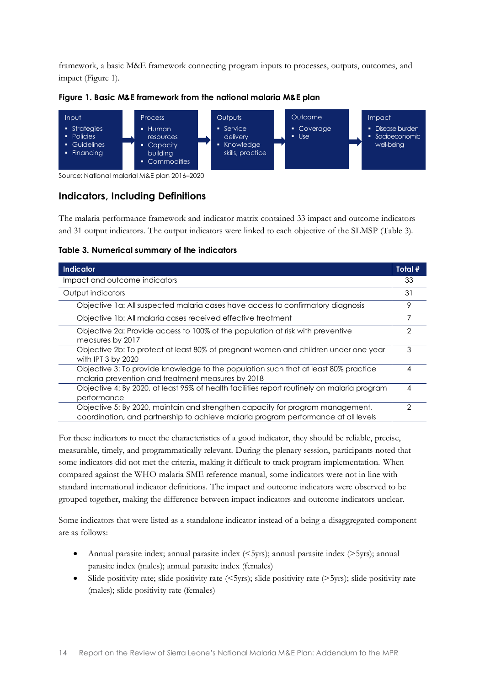framework, a basic M&E framework connecting program inputs to processes, outputs, outcomes, and impact (Figure 1).



<span id="page-13-1"></span>

Source: National malarial M&E plan 2016–2020

#### <span id="page-13-0"></span>**Indicators, Including Definitions**

The malaria performance framework and indicator matrix contained 33 impact and outcome indicators and 31 output indicators. The output indicators were linked to each objective of the SLMSP (Table 3).

<span id="page-13-2"></span>

| Table 3. Numerical summary of the indicators |  |  |
|----------------------------------------------|--|--|
|                                              |  |  |

| Indicator                                                                                                                                                            | Total # |
|----------------------------------------------------------------------------------------------------------------------------------------------------------------------|---------|
| Impact and outcome indicators                                                                                                                                        | 33      |
| Output indicators                                                                                                                                                    | 31      |
| Objective 1a: All suspected malaria cases have access to confirmatory diagnosis                                                                                      | 9       |
| Objective 1b: All malaria cases received effective treatment                                                                                                         |         |
| Objective 2a: Provide access to 100% of the population at risk with preventive<br>measures by 2017                                                                   | 2       |
| Objective 2b: To protect at least 80% of pregnant women and children under one year<br>with IPT 3 by 2020                                                            | 3       |
| Objective 3: To provide knowledge to the population such that at least 80% practice<br>malaria prevention and treatment measures by 2018                             | 4       |
| Objective 4: By 2020, at least 95% of health facilities report routinely on malaria program<br>performance                                                           |         |
| Objective 5: By 2020, maintain and strengthen capacity for program management,<br>coordination, and partnership to achieve malaria program performance at all levels |         |

For these indicators to meet the characteristics of a good indicator, they should be reliable, precise, measurable, timely, and programmatically relevant. During the plenary session, participants noted that some indicators did not met the criteria, making it difficult to track program implementation. When compared against the WHO malaria SME reference manual, some indicators were not in line with standard international indicator definitions. The impact and outcome indicators were observed to be grouped together, making the difference between impact indicators and outcome indicators unclear.

Some indicators that were listed as a standalone indicator instead of a being a disaggregated component are as follows:

- Annual parasite index; annual parasite index (<5yrs); annual parasite index (>5yrs); annual parasite index (males); annual parasite index (females)
- Slide positivity rate; slide positivity rate  $(5\gamma rs)$ ; slide positivity rate ( $>5\gamma rs$ ); slide positivity rate (males); slide positivity rate (females)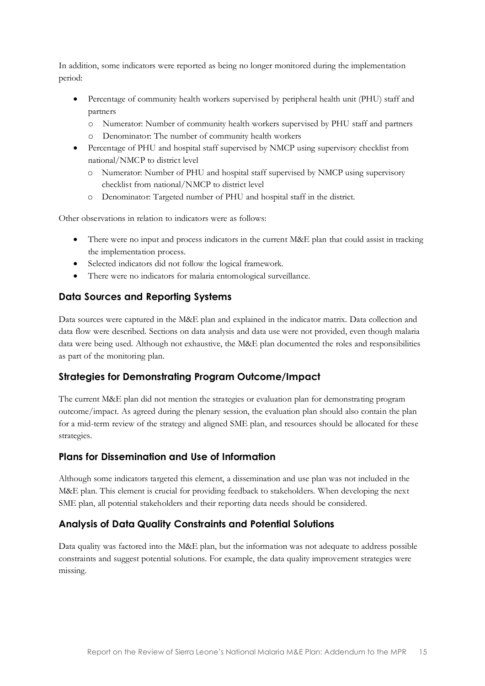In addition, some indicators were reported as being no longer monitored during the implementation period:

- Percentage of community health workers supervised by peripheral health unit (PHU) staff and partners
	- o Numerator: Number of community health workers supervised by PHU staff and partners
	- o Denominator: The number of community health workers
- Percentage of PHU and hospital staff supervised by NMCP using supervisory checklist from national/NMCP to district level
	- o Numerator: Number of PHU and hospital staff supervised by NMCP using supervisory checklist from national/NMCP to district level
	- o Denominator: Targeted number of PHU and hospital staff in the district.

Other observations in relation to indicators were as follows:

- There were no input and process indicators in the current M&E plan that could assist in tracking the implementation process.
- Selected indicators did not follow the logical framework.
- There were no indicators for malaria entomological surveillance.

#### <span id="page-14-0"></span>**Data Sources and Reporting Systems**

Data sources were captured in the M&E plan and explained in the indicator matrix. Data collection and data flow were described. Sections on data analysis and data use were not provided, even though malaria data were being used. Although not exhaustive, the M&E plan documented the roles and responsibilities as part of the monitoring plan.

#### <span id="page-14-1"></span>**Strategies for Demonstrating Program Outcome/Impact**

The current M&E plan did not mention the strategies or evaluation plan for demonstrating program outcome/impact. As agreed during the plenary session, the evaluation plan should also contain the plan for a mid-term review of the strategy and aligned SME plan, and resources should be allocated for these strategies.

#### <span id="page-14-2"></span>**Plans for Dissemination and Use of Information**

Although some indicators targeted this element, a dissemination and use plan was not included in the M&E plan. This element is crucial for providing feedback to stakeholders. When developing the next SME plan, all potential stakeholders and their reporting data needs should be considered.

#### <span id="page-14-3"></span>**Analysis of Data Quality Constraints and Potential Solutions**

Data quality was factored into the M&E plan, but the information was not adequate to address possible constraints and suggest potential solutions. For example, the data quality improvement strategies were missing.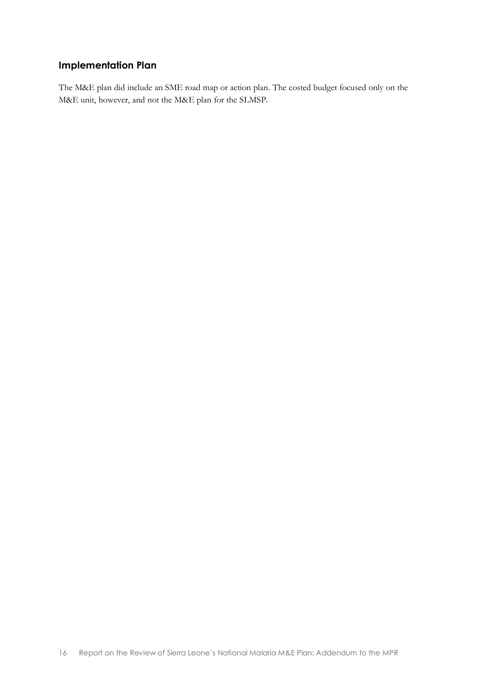#### <span id="page-15-0"></span>**Implementation Plan**

The M&E plan did include an SME road map or action plan. The costed budget focused only on the M&E unit, however, and not the M&E plan for the SLMSP.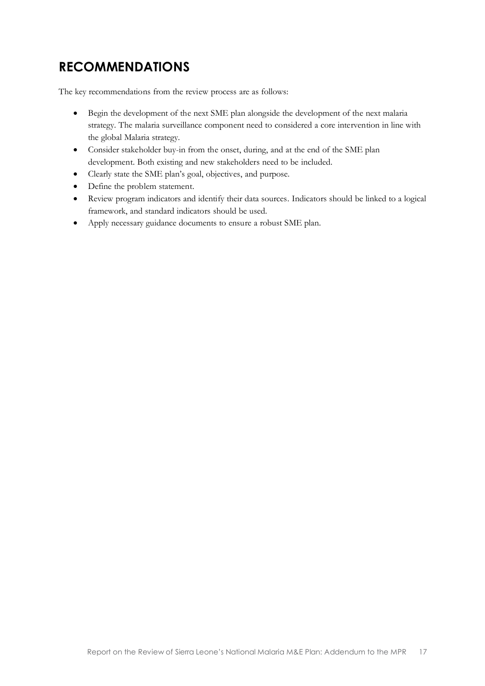# <span id="page-16-0"></span>**RECOMMENDATIONS**

The key recommendations from the review process are as follows:

- Begin the development of the next SME plan alongside the development of the next malaria strategy. The malaria surveillance component need to considered a core intervention in line with the global Malaria strategy.
- Consider stakeholder buy-in from the onset, during, and at the end of the SME plan development. Both existing and new stakeholders need to be included.
- Clearly state the SME plan's goal, objectives, and purpose.
- Define the problem statement.
- Review program indicators and identify their data sources. Indicators should be linked to a logical framework, and standard indicators should be used.
- Apply necessary guidance documents to ensure a robust SME plan.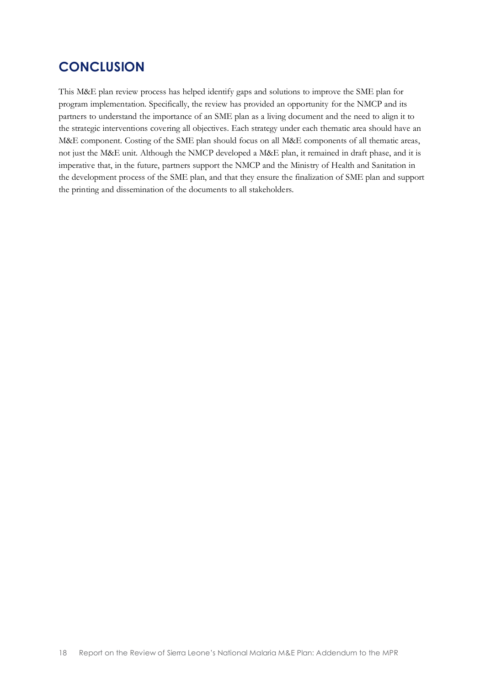## <span id="page-17-0"></span>**CONCLUSION**

This M&E plan review process has helped identify gaps and solutions to improve the SME plan for program implementation. Specifically, the review has provided an opportunity for the NMCP and its partners to understand the importance of an SME plan as a living document and the need to align it to the strategic interventions covering all objectives. Each strategy under each thematic area should have an M&E component. Costing of the SME plan should focus on all M&E components of all thematic areas, not just the M&E unit. Although the NMCP developed a M&E plan, it remained in draft phase, and it is imperative that, in the future, partners support the NMCP and the Ministry of Health and Sanitation in the development process of the SME plan, and that they ensure the finalization of SME plan and support the printing and dissemination of the documents to all stakeholders.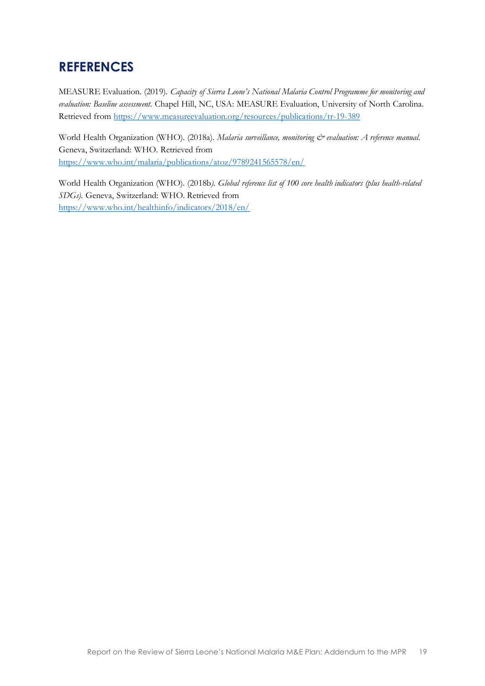## **REFERENCES**

MEASURE Evaluation. (2019). *Capacity of Sierra Leone's National Malaria Control Programme for monitoring and evaluation: Baseline assessment.* Chapel Hill, NC, USA: MEASURE Evaluation, University of North Carolina. Retrieved from<https://www.measureevaluation.org/resources/publications/tr-19-389>

World Health Organization (WHO). (2018a). *Malaria surveillance, monitoring & evaluation: A reference manual.* Geneva, Switzerland: WHO. Retrieved from <https://www.who.int/malaria/publications/atoz/9789241565578/en/>

World Health Organization (WHO). (2018b*). Global reference list of 100 core health indicators (plus health-related SDGs).* Geneva, Switzerland: WHO. Retrieved from <https://www.who.int/healthinfo/indicators/2018/en/>